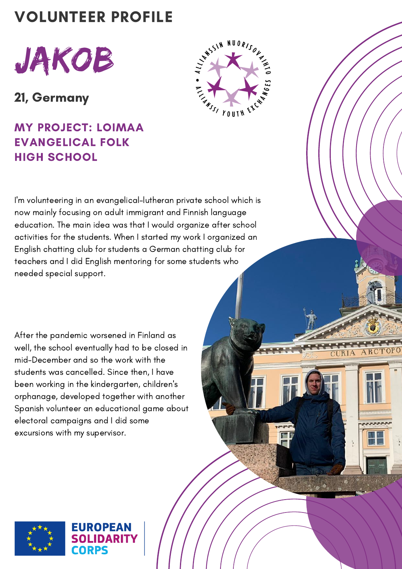## VOLUNTEER PROFILE



21, Germany

MY PROJECT: LOIMAA EVANGELICAL FOLK HIGH SCHOOL



ARC

**TRIA** 

I'm volunteering in an evangelical-lutheran private school which is now mainly focusing on adult immigrant and Finnish language education. The main idea was that I would organize after school activities for the students. When I started my work I organized an English chatting club for students a German chatting club for teachers and I did English mentoring for some students who needed special support.

After the pandemic worsened in Finland as well, the school eventually had to be closed in mid-December and so the work with the students was cancelled. Since then, I have been working in the kindergarten, children's orphanage, developed together with another Spanish volunteer an educational game about electoral campaigns and I did some excursions with my supervisor.

EUROPEAN